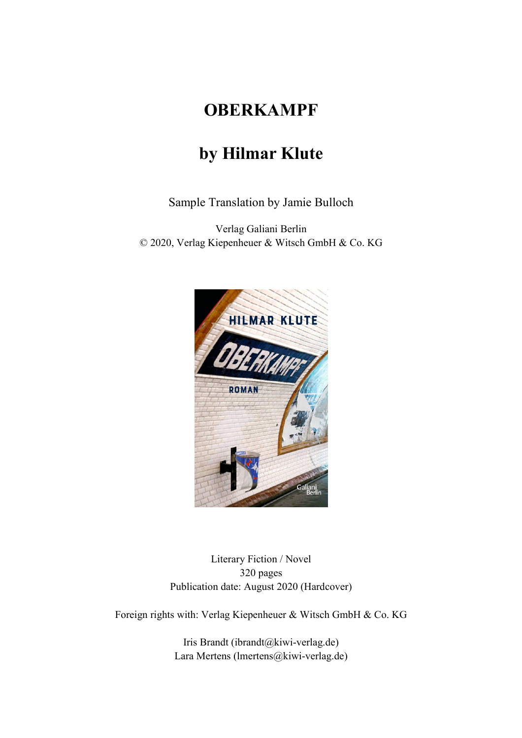## **OBERKAMPF**

## **by Hilmar Klute**

Sample Translation by Jamie Bulloch

Verlag Galiani Berlin © 2020, Verlag Kiepenheuer & Witsch GmbH & Co. KG



Literary Fiction / Novel 320 pages Publication date: August 2020 (Hardcover)

Foreign rights with: Verlag Kiepenheuer & Witsch GmbH & Co. KG

Iris Brandt (ibrandt@kiwi-verlag.de) Lara Mertens (lmertens@kiwi-verlag.de)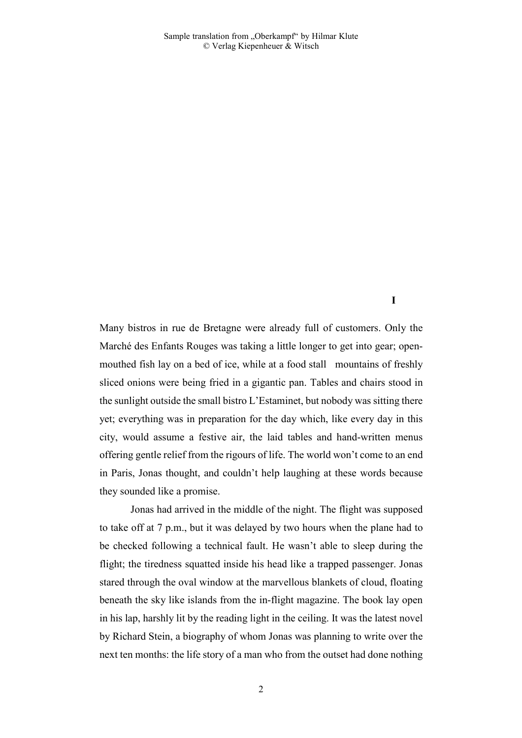**I** 

Many bistros in rue de Bretagne were already full of customers. Only the Marché des Enfants Rouges was taking a little longer to get into gear; openmouthed fish lay on a bed of ice, while at a food stall mountains of freshly sliced onions were being fried in a gigantic pan. Tables and chairs stood in the sunlight outside the small bistro L'Estaminet, but nobody was sitting there yet; everything was in preparation for the day which, like every day in this city, would assume a festive air, the laid tables and hand-written menus offering gentle relief from the rigours of life. The world won't come to an end in Paris, Jonas thought, and couldn't help laughing at these words because they sounded like a promise.

 Jonas had arrived in the middle of the night. The flight was supposed to take off at 7 p.m., but it was delayed by two hours when the plane had to be checked following a technical fault. He wasn't able to sleep during the flight; the tiredness squatted inside his head like a trapped passenger. Jonas stared through the oval window at the marvellous blankets of cloud, floating beneath the sky like islands from the in-flight magazine. The book lay open in his lap, harshly lit by the reading light in the ceiling. It was the latest novel by Richard Stein, a biography of whom Jonas was planning to write over the next ten months: the life story of a man who from the outset had done nothing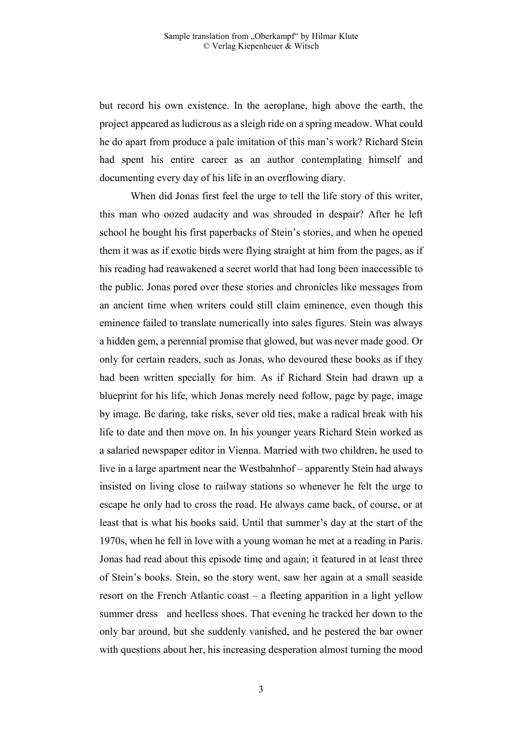but record his own existence. In the aeroplane, high above the earth, the project appeared as ludicrous as a sleigh ride on a spring meadow. What could he do apart from produce a pale imitation of this man's work? Richard Stein had spent his entire career as an author contemplating himself and documenting every day of his life in an overflowing diary.

 When did Jonas first feel the urge to tell the life story of this writer, this man who oozed audacity and was shrouded in despair? After he left school he bought his first paperbacks of Stein's stories, and when he opened them it was as if exotic birds were flying straight at him from the pages, as if his reading had reawakened a secret world that had long been inaccessible to the public. Jonas pored over these stories and chronicles like messages from an ancient time when writers could still claim eminence, even though this eminence failed to translate numerically into sales figures. Stein was always a hidden gem, a perennial promise that glowed, but was never made good. Or only for certain readers, such as Jonas, who devoured these books as if they had been written specially for him. As if Richard Stein had drawn up a blueprint for his life, which Jonas merely need follow, page by page, image by image. Be daring, take risks, sever old ties, make a radical break with his life to date and then move on. In his younger years Richard Stein worked as a salaried newspaper editor in Vienna. Married with two children, he used to live in a large apartment near the Westbahnhof – apparently Stein had always insisted on living close to railway stations so whenever he felt the urge to escape he only had to cross the road. He always came back, of course, or at least that is what his books said. Until that summer's day at the start of the 1970s, when he fell in love with a young woman he met at a reading in Paris. Jonas had read about this episode time and again; it featured in at least three of Stein's books. Stein, so the story went, saw her again at a small seaside resort on the French Atlantic coast – a fleeting apparition in a light yellow summer dress and heelless shoes. That evening he tracked her down to the only bar around, but she suddenly vanished, and he pestered the bar owner with questions about her, his increasing desperation almost turning the mood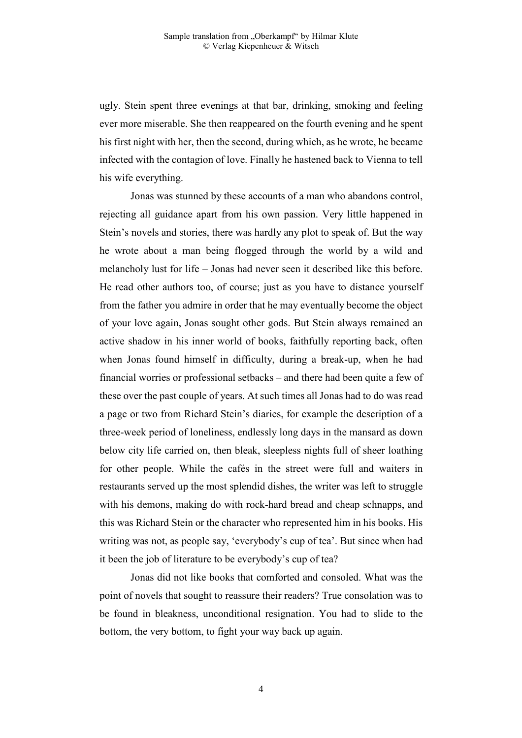ugly. Stein spent three evenings at that bar, drinking, smoking and feeling ever more miserable. She then reappeared on the fourth evening and he spent his first night with her, then the second, during which, as he wrote, he became infected with the contagion of love. Finally he hastened back to Vienna to tell his wife everything.

 Jonas was stunned by these accounts of a man who abandons control, rejecting all guidance apart from his own passion. Very little happened in Stein's novels and stories, there was hardly any plot to speak of. But the way he wrote about a man being flogged through the world by a wild and melancholy lust for life – Jonas had never seen it described like this before. He read other authors too, of course; just as you have to distance yourself from the father you admire in order that he may eventually become the object of your love again, Jonas sought other gods. But Stein always remained an active shadow in his inner world of books, faithfully reporting back, often when Jonas found himself in difficulty, during a break-up, when he had financial worries or professional setbacks – and there had been quite a few of these over the past couple of years. At such times all Jonas had to do was read a page or two from Richard Stein's diaries, for example the description of a three-week period of loneliness, endlessly long days in the mansard as down below city life carried on, then bleak, sleepless nights full of sheer loathing for other people. While the cafés in the street were full and waiters in restaurants served up the most splendid dishes, the writer was left to struggle with his demons, making do with rock-hard bread and cheap schnapps, and this was Richard Stein or the character who represented him in his books. His writing was not, as people say, 'everybody's cup of tea'. But since when had it been the job of literature to be everybody's cup of tea?

 Jonas did not like books that comforted and consoled. What was the point of novels that sought to reassure their readers? True consolation was to be found in bleakness, unconditional resignation. You had to slide to the bottom, the very bottom, to fight your way back up again.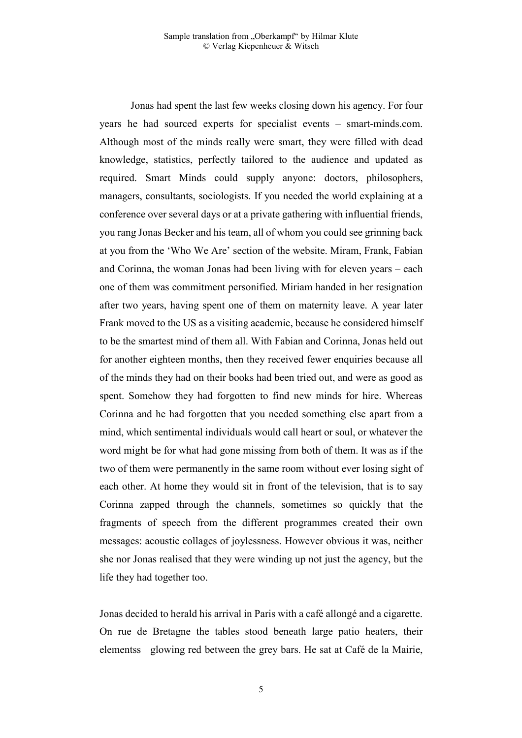Jonas had spent the last few weeks closing down his agency. For four years he had sourced experts for specialist events – smart-minds.com. Although most of the minds really were smart, they were filled with dead knowledge, statistics, perfectly tailored to the audience and updated as required. Smart Minds could supply anyone: doctors, philosophers, managers, consultants, sociologists. If you needed the world explaining at a conference over several days or at a private gathering with influential friends, you rang Jonas Becker and his team, all of whom you could see grinning back at you from the 'Who We Are' section of the website. Miram, Frank, Fabian and Corinna, the woman Jonas had been living with for eleven years – each one of them was commitment personified. Miriam handed in her resignation after two years, having spent one of them on maternity leave. A year later Frank moved to the US as a visiting academic, because he considered himself to be the smartest mind of them all. With Fabian and Corinna, Jonas held out for another eighteen months, then they received fewer enquiries because all of the minds they had on their books had been tried out, and were as good as spent. Somehow they had forgotten to find new minds for hire. Whereas Corinna and he had forgotten that you needed something else apart from a mind, which sentimental individuals would call heart or soul, or whatever the word might be for what had gone missing from both of them. It was as if the two of them were permanently in the same room without ever losing sight of each other. At home they would sit in front of the television, that is to say Corinna zapped through the channels, sometimes so quickly that the fragments of speech from the different programmes created their own messages: acoustic collages of joylessness. However obvious it was, neither she nor Jonas realised that they were winding up not just the agency, but the life they had together too.

Jonas decided to herald his arrival in Paris with a café allongé and a cigarette. On rue de Bretagne the tables stood beneath large patio heaters, their elementss glowing red between the grey bars. He sat at Café de la Mairie,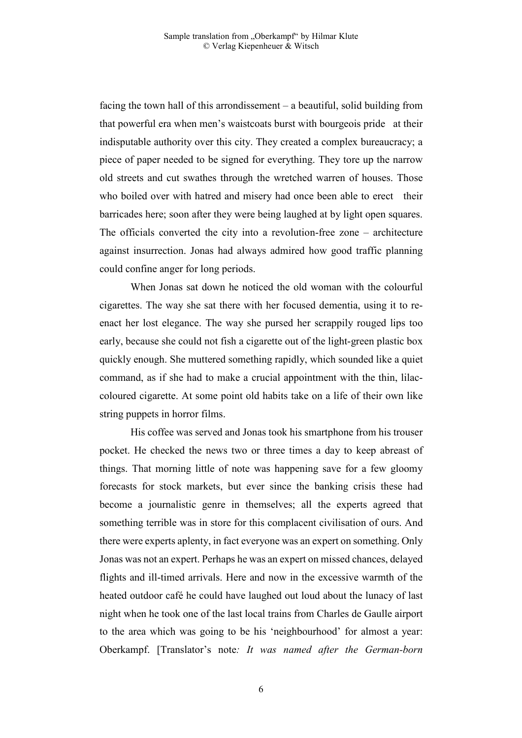facing the town hall of this arrondissement – a beautiful, solid building from that powerful era when men's waistcoats burst with bourgeois pride at their indisputable authority over this city. They created a complex bureaucracy; a piece of paper needed to be signed for everything. They tore up the narrow old streets and cut swathes through the wretched warren of houses. Those who boiled over with hatred and misery had once been able to erect their barricades here; soon after they were being laughed at by light open squares. The officials converted the city into a revolution-free zone – architecture against insurrection. Jonas had always admired how good traffic planning could confine anger for long periods.

 When Jonas sat down he noticed the old woman with the colourful cigarettes. The way she sat there with her focused dementia, using it to reenact her lost elegance. The way she pursed her scrappily rouged lips too early, because she could not fish a cigarette out of the light-green plastic box quickly enough. She muttered something rapidly, which sounded like a quiet command, as if she had to make a crucial appointment with the thin, lilaccoloured cigarette. At some point old habits take on a life of their own like string puppets in horror films.

 His coffee was served and Jonas took his smartphone from his trouser pocket. He checked the news two or three times a day to keep abreast of things. That morning little of note was happening save for a few gloomy forecasts for stock markets, but ever since the banking crisis these had become a journalistic genre in themselves; all the experts agreed that something terrible was in store for this complacent civilisation of ours. And there were experts aplenty, in fact everyone was an expert on something. Only Jonas was not an expert. Perhaps he was an expert on missed chances, delayed flights and ill-timed arrivals. Here and now in the excessive warmth of the heated outdoor café he could have laughed out loud about the lunacy of last night when he took one of the last local trains from Charles de Gaulle airport to the area which was going to be his 'neighbourhood' for almost a year: Oberkampf. [Translator's note*: It was named after the German-born*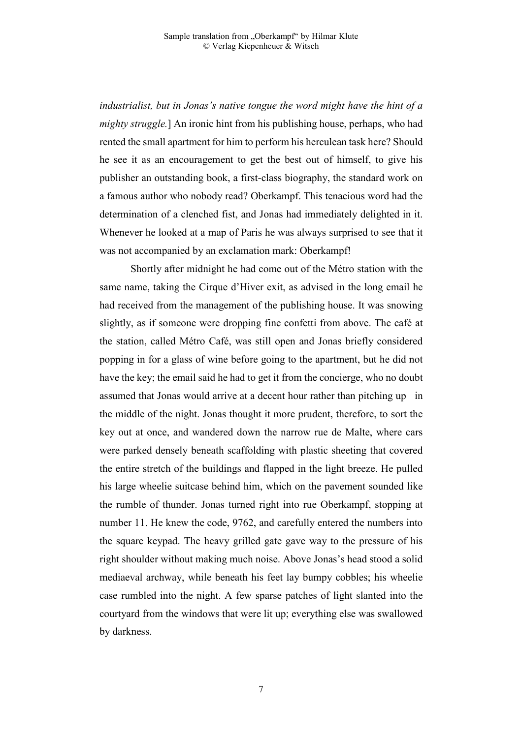*industrialist, but in Jonas's native tongue the word might have the hint of a mighty struggle.*] An ironic hint from his publishing house, perhaps, who had rented the small apartment for him to perform his herculean task here? Should he see it as an encouragement to get the best out of himself, to give his publisher an outstanding book, a first-class biography, the standard work on a famous author who nobody read? Oberkampf. This tenacious word had the determination of a clenched fist, and Jonas had immediately delighted in it. Whenever he looked at a map of Paris he was always surprised to see that it was not accompanied by an exclamation mark: Oberkampf!

 Shortly after midnight he had come out of the Métro station with the same name, taking the Cirque d'Hiver exit, as advised in the long email he had received from the management of the publishing house. It was snowing slightly, as if someone were dropping fine confetti from above. The café at the station, called Métro Café, was still open and Jonas briefly considered popping in for a glass of wine before going to the apartment, but he did not have the key; the email said he had to get it from the concierge, who no doubt assumed that Jonas would arrive at a decent hour rather than pitching up in the middle of the night. Jonas thought it more prudent, therefore, to sort the key out at once, and wandered down the narrow rue de Malte, where cars were parked densely beneath scaffolding with plastic sheeting that covered the entire stretch of the buildings and flapped in the light breeze. He pulled his large wheelie suitcase behind him, which on the pavement sounded like the rumble of thunder. Jonas turned right into rue Oberkampf, stopping at number 11. He knew the code, 9762, and carefully entered the numbers into the square keypad. The heavy grilled gate gave way to the pressure of his right shoulder without making much noise. Above Jonas's head stood a solid mediaeval archway, while beneath his feet lay bumpy cobbles; his wheelie case rumbled into the night. A few sparse patches of light slanted into the courtyard from the windows that were lit up; everything else was swallowed by darkness.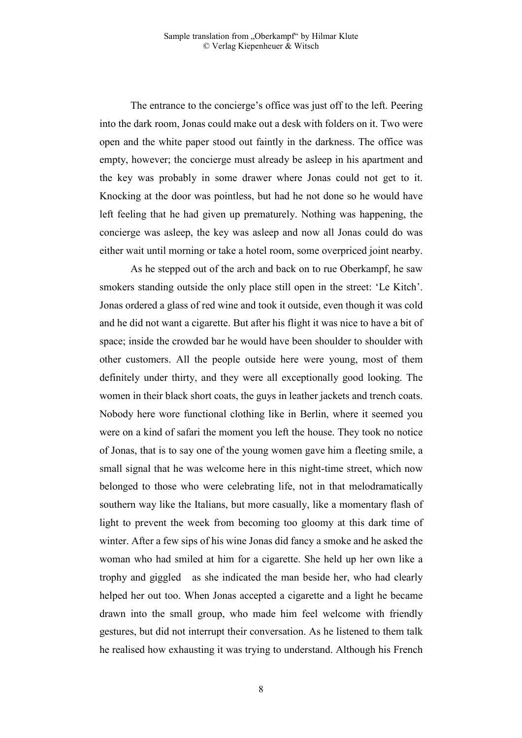The entrance to the concierge's office was just off to the left. Peering into the dark room, Jonas could make out a desk with folders on it. Two were open and the white paper stood out faintly in the darkness. The office was empty, however; the concierge must already be asleep in his apartment and the key was probably in some drawer where Jonas could not get to it. Knocking at the door was pointless, but had he not done so he would have left feeling that he had given up prematurely. Nothing was happening, the concierge was asleep, the key was asleep and now all Jonas could do was either wait until morning or take a hotel room, some overpriced joint nearby.

 As he stepped out of the arch and back on to rue Oberkampf, he saw smokers standing outside the only place still open in the street: 'Le Kitch'. Jonas ordered a glass of red wine and took it outside, even though it was cold and he did not want a cigarette. But after his flight it was nice to have a bit of space; inside the crowded bar he would have been shoulder to shoulder with other customers. All the people outside here were young, most of them definitely under thirty, and they were all exceptionally good looking. The women in their black short coats, the guys in leather jackets and trench coats. Nobody here wore functional clothing like in Berlin, where it seemed you were on a kind of safari the moment you left the house. They took no notice of Jonas, that is to say one of the young women gave him a fleeting smile, a small signal that he was welcome here in this night-time street, which now belonged to those who were celebrating life, not in that melodramatically southern way like the Italians, but more casually, like a momentary flash of light to prevent the week from becoming too gloomy at this dark time of winter. After a few sips of his wine Jonas did fancy a smoke and he asked the woman who had smiled at him for a cigarette. She held up her own like a trophy and giggled as she indicated the man beside her, who had clearly helped her out too. When Jonas accepted a cigarette and a light he became drawn into the small group, who made him feel welcome with friendly gestures, but did not interrupt their conversation. As he listened to them talk he realised how exhausting it was trying to understand. Although his French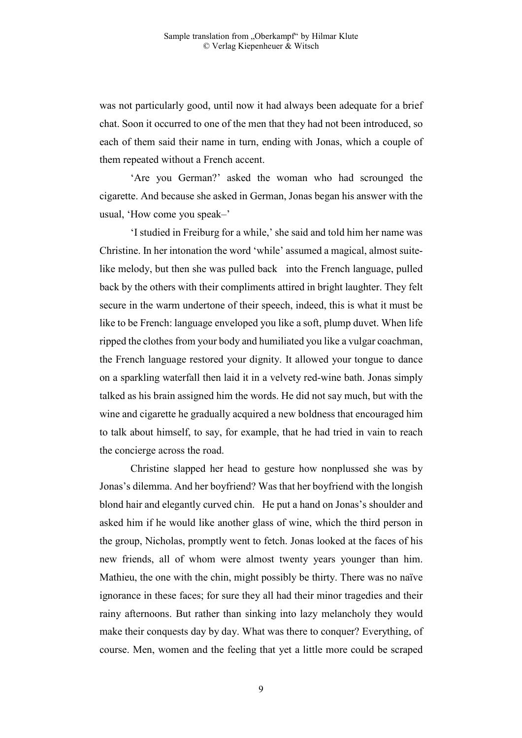was not particularly good, until now it had always been adequate for a brief chat. Soon it occurred to one of the men that they had not been introduced, so each of them said their name in turn, ending with Jonas, which a couple of them repeated without a French accent.

 'Are you German?' asked the woman who had scrounged the cigarette. And because she asked in German, Jonas began his answer with the usual, 'How come you speak–'

 'I studied in Freiburg for a while,' she said and told him her name was Christine. In her intonation the word 'while' assumed a magical, almost suitelike melody, but then she was pulled back into the French language, pulled back by the others with their compliments attired in bright laughter. They felt secure in the warm undertone of their speech, indeed, this is what it must be like to be French: language enveloped you like a soft, plump duvet. When life ripped the clothes from your body and humiliated you like a vulgar coachman, the French language restored your dignity. It allowed your tongue to dance on a sparkling waterfall then laid it in a velvety red-wine bath. Jonas simply talked as his brain assigned him the words. He did not say much, but with the wine and cigarette he gradually acquired a new boldness that encouraged him to talk about himself, to say, for example, that he had tried in vain to reach the concierge across the road.

 Christine slapped her head to gesture how nonplussed she was by Jonas's dilemma. And her boyfriend? Was that her boyfriend with the longish blond hair and elegantly curved chin. He put a hand on Jonas's shoulder and asked him if he would like another glass of wine, which the third person in the group, Nicholas, promptly went to fetch. Jonas looked at the faces of his new friends, all of whom were almost twenty years younger than him. Mathieu, the one with the chin, might possibly be thirty. There was no naïve ignorance in these faces; for sure they all had their minor tragedies and their rainy afternoons. But rather than sinking into lazy melancholy they would make their conquests day by day. What was there to conquer? Everything, of course. Men, women and the feeling that yet a little more could be scraped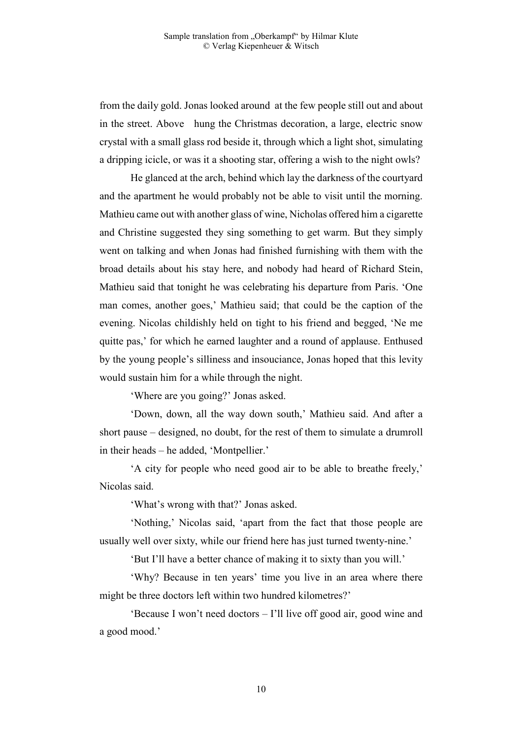from the daily gold. Jonas looked around at the few people still out and about in the street. Above hung the Christmas decoration, a large, electric snow crystal with a small glass rod beside it, through which a light shot, simulating a dripping icicle, or was it a shooting star, offering a wish to the night owls?

 He glanced at the arch, behind which lay the darkness of the courtyard and the apartment he would probably not be able to visit until the morning. Mathieu came out with another glass of wine, Nicholas offered him a cigarette and Christine suggested they sing something to get warm. But they simply went on talking and when Jonas had finished furnishing with them with the broad details about his stay here, and nobody had heard of Richard Stein, Mathieu said that tonight he was celebrating his departure from Paris. 'One man comes, another goes,' Mathieu said; that could be the caption of the evening. Nicolas childishly held on tight to his friend and begged, 'Ne me quitte pas,' for which he earned laughter and a round of applause. Enthused by the young people's silliness and insouciance, Jonas hoped that this levity would sustain him for a while through the night.

'Where are you going?' Jonas asked.

 'Down, down, all the way down south,' Mathieu said. And after a short pause – designed, no doubt, for the rest of them to simulate a drumroll in their heads – he added, 'Montpellier.'

 'A city for people who need good air to be able to breathe freely,' Nicolas said.

'What's wrong with that?' Jonas asked.

 'Nothing,' Nicolas said, 'apart from the fact that those people are usually well over sixty, while our friend here has just turned twenty-nine.'

'But I'll have a better chance of making it to sixty than you will.'

 'Why? Because in ten years' time you live in an area where there might be three doctors left within two hundred kilometres?'

 'Because I won't need doctors – I'll live off good air, good wine and a good mood.'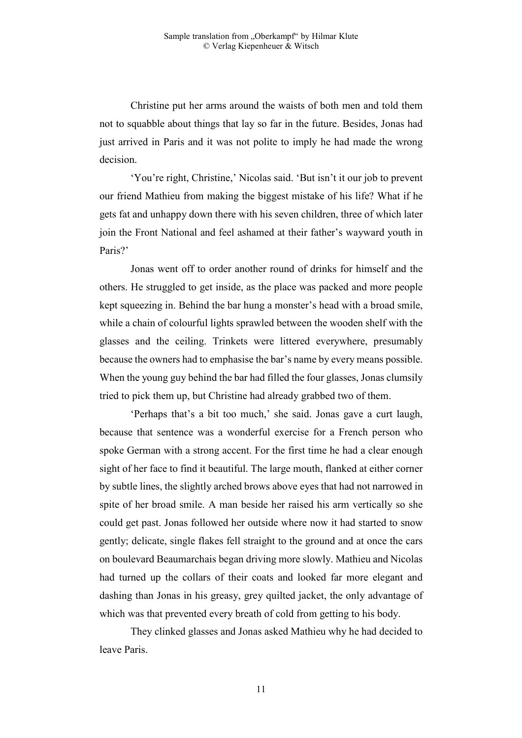Christine put her arms around the waists of both men and told them not to squabble about things that lay so far in the future. Besides, Jonas had just arrived in Paris and it was not polite to imply he had made the wrong decision.

 'You're right, Christine,' Nicolas said. 'But isn't it our job to prevent our friend Mathieu from making the biggest mistake of his life? What if he gets fat and unhappy down there with his seven children, three of which later join the Front National and feel ashamed at their father's wayward youth in Paris?'

 Jonas went off to order another round of drinks for himself and the others. He struggled to get inside, as the place was packed and more people kept squeezing in. Behind the bar hung a monster's head with a broad smile, while a chain of colourful lights sprawled between the wooden shelf with the glasses and the ceiling. Trinkets were littered everywhere, presumably because the owners had to emphasise the bar's name by every means possible. When the young guy behind the bar had filled the four glasses, Jonas clumsily tried to pick them up, but Christine had already grabbed two of them.

 'Perhaps that's a bit too much,' she said. Jonas gave a curt laugh, because that sentence was a wonderful exercise for a French person who spoke German with a strong accent. For the first time he had a clear enough sight of her face to find it beautiful. The large mouth, flanked at either corner by subtle lines, the slightly arched brows above eyes that had not narrowed in spite of her broad smile. A man beside her raised his arm vertically so she could get past. Jonas followed her outside where now it had started to snow gently; delicate, single flakes fell straight to the ground and at once the cars on boulevard Beaumarchais began driving more slowly. Mathieu and Nicolas had turned up the collars of their coats and looked far more elegant and dashing than Jonas in his greasy, grey quilted jacket, the only advantage of which was that prevented every breath of cold from getting to his body.

 They clinked glasses and Jonas asked Mathieu why he had decided to leave Paris.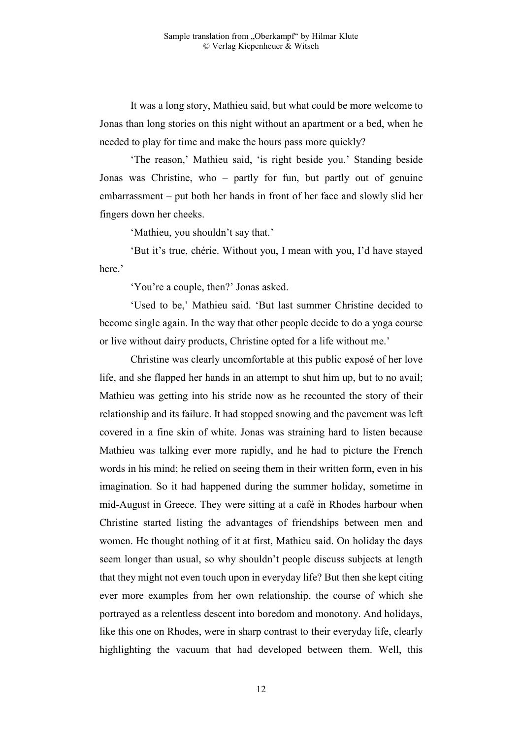It was a long story, Mathieu said, but what could be more welcome to Jonas than long stories on this night without an apartment or a bed, when he needed to play for time and make the hours pass more quickly?

 'The reason,' Mathieu said, 'is right beside you.' Standing beside Jonas was Christine, who – partly for fun, but partly out of genuine embarrassment – put both her hands in front of her face and slowly slid her fingers down her cheeks.

'Mathieu, you shouldn't say that.'

 'But it's true, chérie. Without you, I mean with you, I'd have stayed here.'

'You're a couple, then?' Jonas asked.

 'Used to be,' Mathieu said. 'But last summer Christine decided to become single again. In the way that other people decide to do a yoga course or live without dairy products, Christine opted for a life without me.'

 Christine was clearly uncomfortable at this public exposé of her love life, and she flapped her hands in an attempt to shut him up, but to no avail; Mathieu was getting into his stride now as he recounted the story of their relationship and its failure. It had stopped snowing and the pavement was left covered in a fine skin of white. Jonas was straining hard to listen because Mathieu was talking ever more rapidly, and he had to picture the French words in his mind; he relied on seeing them in their written form, even in his imagination. So it had happened during the summer holiday, sometime in mid-August in Greece. They were sitting at a café in Rhodes harbour when Christine started listing the advantages of friendships between men and women. He thought nothing of it at first, Mathieu said. On holiday the days seem longer than usual, so why shouldn't people discuss subjects at length that they might not even touch upon in everyday life? But then she kept citing ever more examples from her own relationship, the course of which she portrayed as a relentless descent into boredom and monotony. And holidays, like this one on Rhodes, were in sharp contrast to their everyday life, clearly highlighting the vacuum that had developed between them. Well, this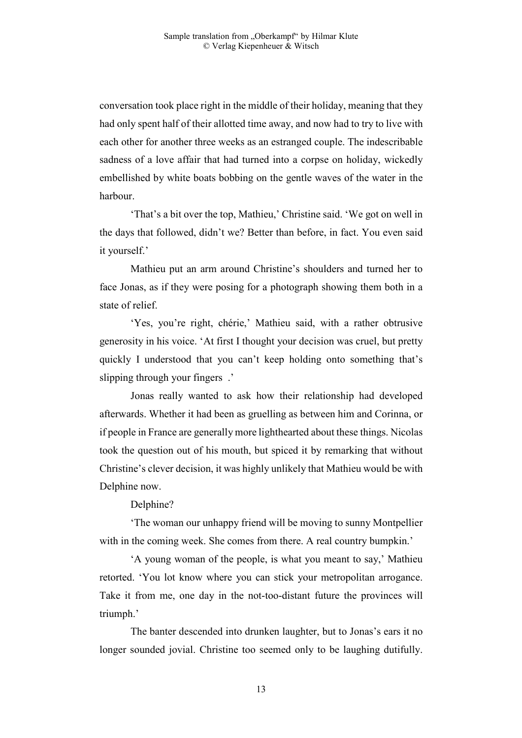conversation took place right in the middle of their holiday, meaning that they had only spent half of their allotted time away, and now had to try to live with each other for another three weeks as an estranged couple. The indescribable sadness of a love affair that had turned into a corpse on holiday, wickedly embellished by white boats bobbing on the gentle waves of the water in the harbour.

 'That's a bit over the top, Mathieu,' Christine said. 'We got on well in the days that followed, didn't we? Better than before, in fact. You even said it yourself.'

 Mathieu put an arm around Christine's shoulders and turned her to face Jonas, as if they were posing for a photograph showing them both in a state of relief.

 'Yes, you're right, chérie,' Mathieu said, with a rather obtrusive generosity in his voice. 'At first I thought your decision was cruel, but pretty quickly I understood that you can't keep holding onto something that's slipping through your fingers .'

 Jonas really wanted to ask how their relationship had developed afterwards. Whether it had been as gruelling as between him and Corinna, or if people in France are generally more lighthearted about these things. Nicolas took the question out of his mouth, but spiced it by remarking that without Christine's clever decision, it was highly unlikely that Mathieu would be with Delphine now.

Delphine?

 'The woman our unhappy friend will be moving to sunny Montpellier with in the coming week. She comes from there. A real country bumpkin.'

 'A young woman of the people, is what you meant to say,' Mathieu retorted. 'You lot know where you can stick your metropolitan arrogance. Take it from me, one day in the not-too-distant future the provinces will triumph.'

 The banter descended into drunken laughter, but to Jonas's ears it no longer sounded jovial. Christine too seemed only to be laughing dutifully.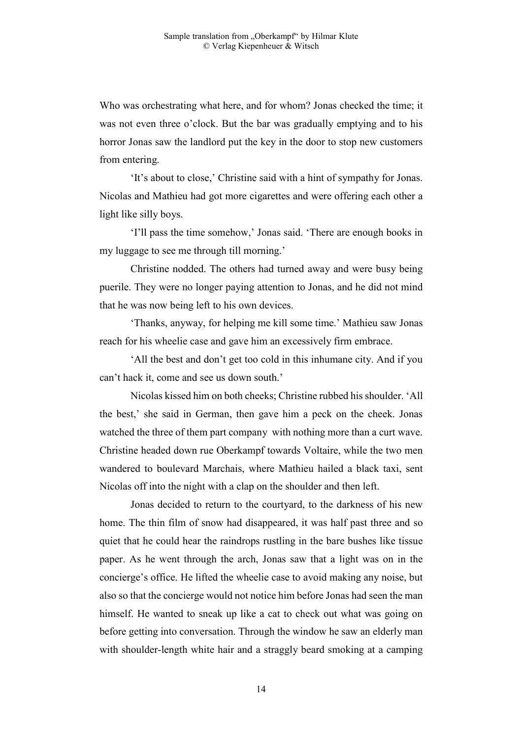Who was orchestrating what here, and for whom? Jonas checked the time; it was not even three o'clock. But the bar was gradually emptying and to his horror Jonas saw the landlord put the key in the door to stop new customers from entering.

 'It's about to close,' Christine said with a hint of sympathy for Jonas. Nicolas and Mathieu had got more cigarettes and were offering each other a light like silly boys.

 'I'll pass the time somehow,' Jonas said. 'There are enough books in my luggage to see me through till morning.'

 Christine nodded. The others had turned away and were busy being puerile. They were no longer paying attention to Jonas, and he did not mind that he was now being left to his own devices.

 'Thanks, anyway, for helping me kill some time.' Mathieu saw Jonas reach for his wheelie case and gave him an excessively firm embrace.

 'All the best and don't get too cold in this inhumane city. And if you can't hack it, come and see us down south.'

 Nicolas kissed him on both cheeks; Christine rubbed his shoulder. 'All the best,' she said in German, then gave him a peck on the cheek. Jonas watched the three of them part company with nothing more than a curt wave. Christine headed down rue Oberkampf towards Voltaire, while the two men wandered to boulevard Marchais, where Mathieu hailed a black taxi, sent Nicolas off into the night with a clap on the shoulder and then left.

 Jonas decided to return to the courtyard, to the darkness of his new home. The thin film of snow had disappeared, it was half past three and so quiet that he could hear the raindrops rustling in the bare bushes like tissue paper. As he went through the arch, Jonas saw that a light was on in the concierge's office. He lifted the wheelie case to avoid making any noise, but also so that the concierge would not notice him before Jonas had seen the man himself. He wanted to sneak up like a cat to check out what was going on before getting into conversation. Through the window he saw an elderly man with shoulder-length white hair and a straggly beard smoking at a camping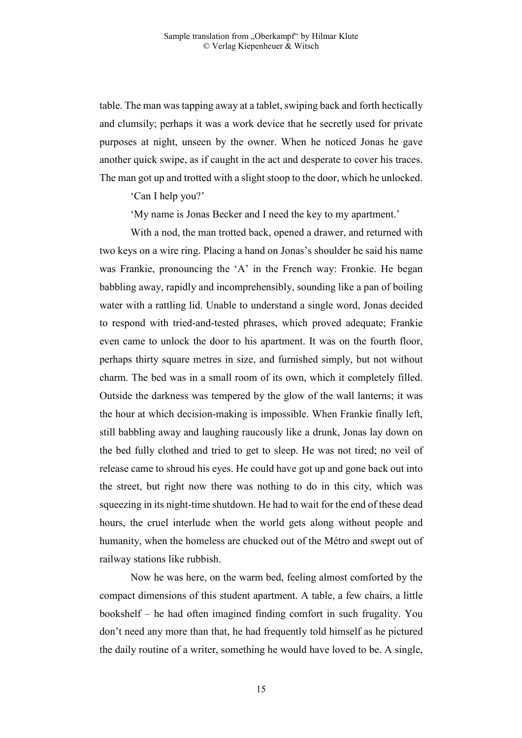table. The man was tapping away at a tablet, swiping back and forth hectically and clumsily; perhaps it was a work device that he secretly used for private purposes at night, unseen by the owner. When he noticed Jonas he gave another quick swipe, as if caught in the act and desperate to cover his traces. The man got up and trotted with a slight stoop to the door, which he unlocked.

'Can I help you?'

'My name is Jonas Becker and I need the key to my apartment.'

 With a nod, the man trotted back, opened a drawer, and returned with two keys on a wire ring. Placing a hand on Jonas's shoulder he said his name was Frankie, pronouncing the 'A' in the French way: Fronkie. He began babbling away, rapidly and incomprehensibly, sounding like a pan of boiling water with a rattling lid. Unable to understand a single word, Jonas decided to respond with tried-and-tested phrases, which proved adequate; Frankie even came to unlock the door to his apartment. It was on the fourth floor, perhaps thirty square metres in size, and furnished simply, but not without charm. The bed was in a small room of its own, which it completely filled. Outside the darkness was tempered by the glow of the wall lanterns; it was the hour at which decision-making is impossible. When Frankie finally left, still babbling away and laughing raucously like a drunk, Jonas lay down on the bed fully clothed and tried to get to sleep. He was not tired; no veil of release came to shroud his eyes. He could have got up and gone back out into the street, but right now there was nothing to do in this city, which was squeezing in its night-time shutdown. He had to wait for the end of these dead hours, the cruel interlude when the world gets along without people and humanity, when the homeless are chucked out of the Métro and swept out of railway stations like rubbish.

 Now he was here, on the warm bed, feeling almost comforted by the compact dimensions of this student apartment. A table, a few chairs, a little bookshelf – he had often imagined finding comfort in such frugality. You don't need any more than that, he had frequently told himself as he pictured the daily routine of a writer, something he would have loved to be. A single,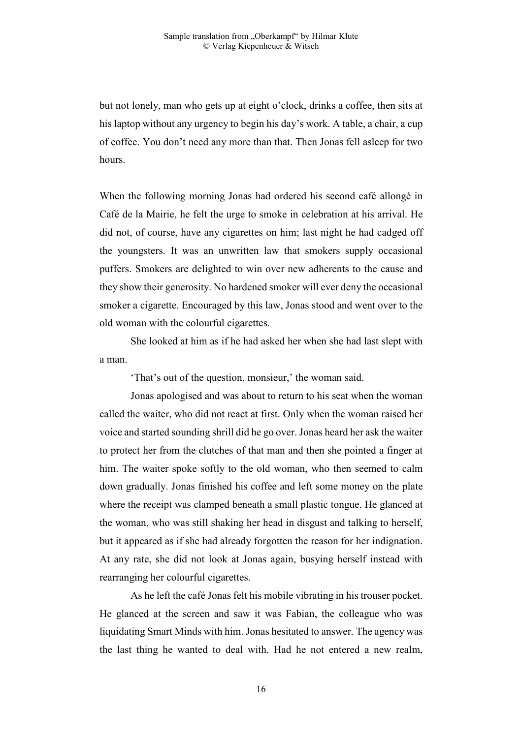but not lonely, man who gets up at eight o'clock, drinks a coffee, then sits at his laptop without any urgency to begin his day's work. A table, a chair, a cup of coffee. You don't need any more than that. Then Jonas fell asleep for two hours.

When the following morning Jonas had ordered his second café allongé in Café de la Mairie, he felt the urge to smoke in celebration at his arrival. He did not, of course, have any cigarettes on him; last night he had cadged off the youngsters. It was an unwritten law that smokers supply occasional puffers. Smokers are delighted to win over new adherents to the cause and they show their generosity. No hardened smoker will ever deny the occasional smoker a cigarette. Encouraged by this law, Jonas stood and went over to the old woman with the colourful cigarettes.

 She looked at him as if he had asked her when she had last slept with a man.

'That's out of the question, monsieur,' the woman said.

 Jonas apologised and was about to return to his seat when the woman called the waiter, who did not react at first. Only when the woman raised her voice and started sounding shrill did he go over. Jonas heard her ask the waiter to protect her from the clutches of that man and then she pointed a finger at him. The waiter spoke softly to the old woman, who then seemed to calm down gradually. Jonas finished his coffee and left some money on the plate where the receipt was clamped beneath a small plastic tongue. He glanced at the woman, who was still shaking her head in disgust and talking to herself, but it appeared as if she had already forgotten the reason for her indignation. At any rate, she did not look at Jonas again, busying herself instead with rearranging her colourful cigarettes.

 As he left the café Jonas felt his mobile vibrating in his trouser pocket. He glanced at the screen and saw it was Fabian, the colleague who was liquidating Smart Minds with him. Jonas hesitated to answer. The agency was the last thing he wanted to deal with. Had he not entered a new realm,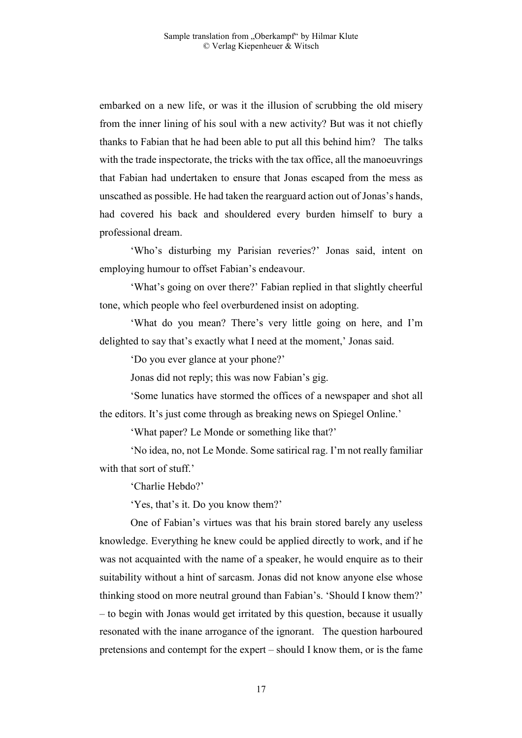embarked on a new life, or was it the illusion of scrubbing the old misery from the inner lining of his soul with a new activity? But was it not chiefly thanks to Fabian that he had been able to put all this behind him? The talks with the trade inspectorate, the tricks with the tax office, all the manoeuvrings that Fabian had undertaken to ensure that Jonas escaped from the mess as unscathed as possible. He had taken the rearguard action out of Jonas's hands, had covered his back and shouldered every burden himself to bury a professional dream.

 'Who's disturbing my Parisian reveries?' Jonas said, intent on employing humour to offset Fabian's endeavour.

 'What's going on over there?' Fabian replied in that slightly cheerful tone, which people who feel overburdened insist on adopting.

 'What do you mean? There's very little going on here, and I'm delighted to say that's exactly what I need at the moment,' Jonas said.

'Do you ever glance at your phone?'

Jonas did not reply; this was now Fabian's gig.

 'Some lunatics have stormed the offices of a newspaper and shot all the editors. It's just come through as breaking news on Spiegel Online.'

'What paper? Le Monde or something like that?'

 'No idea, no, not Le Monde. Some satirical rag. I'm not really familiar with that sort of stuff.'

'Charlie Hebdo?'

'Yes, that's it. Do you know them?'

 One of Fabian's virtues was that his brain stored barely any useless knowledge. Everything he knew could be applied directly to work, and if he was not acquainted with the name of a speaker, he would enquire as to their suitability without a hint of sarcasm. Jonas did not know anyone else whose thinking stood on more neutral ground than Fabian's. 'Should I know them?' – to begin with Jonas would get irritated by this question, because it usually resonated with the inane arrogance of the ignorant. The question harboured pretensions and contempt for the expert – should I know them, or is the fame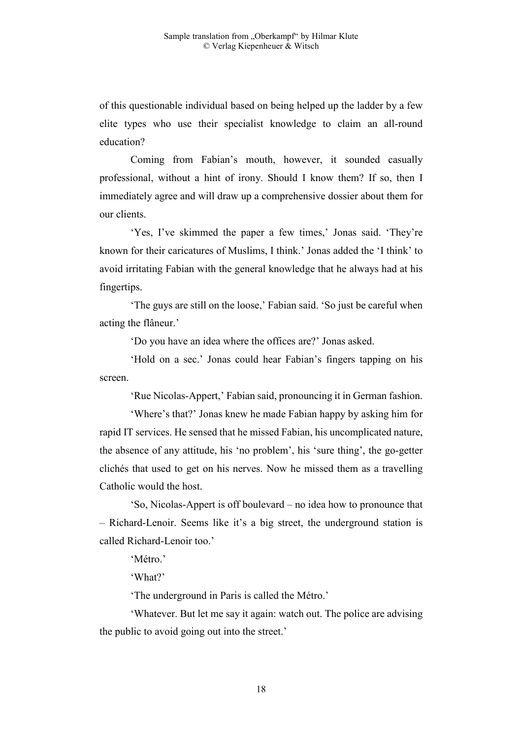of this questionable individual based on being helped up the ladder by a few elite types who use their specialist knowledge to claim an all-round education?

 Coming from Fabian's mouth, however, it sounded casually professional, without a hint of irony. Should I know them? If so, then I immediately agree and will draw up a comprehensive dossier about them for our clients.

 'Yes, I've skimmed the paper a few times,' Jonas said. 'They're known for their caricatures of Muslims, I think.' Jonas added the 'I think' to avoid irritating Fabian with the general knowledge that he always had at his fingertips.

 'The guys are still on the loose,' Fabian said. 'So just be careful when acting the flâneur.'

'Do you have an idea where the offices are?' Jonas asked.

 'Hold on a sec.' Jonas could hear Fabian's fingers tapping on his screen.

'Rue Nicolas-Appert,' Fabian said, pronouncing it in German fashion.

 'Where's that?' Jonas knew he made Fabian happy by asking him for rapid IT services. He sensed that he missed Fabian, his uncomplicated nature, the absence of any attitude, his 'no problem', his 'sure thing', the go-getter clichés that used to get on his nerves. Now he missed them as a travelling Catholic would the host.

 'So, Nicolas-Appert is off boulevard – no idea how to pronounce that – Richard-Lenoir. Seems like it's a big street, the underground station is called Richard-Lenoir too.'

'Métro.'

'What?'

'The underground in Paris is called the Métro.'

 'Whatever. But let me say it again: watch out. The police are advising the public to avoid going out into the street.'